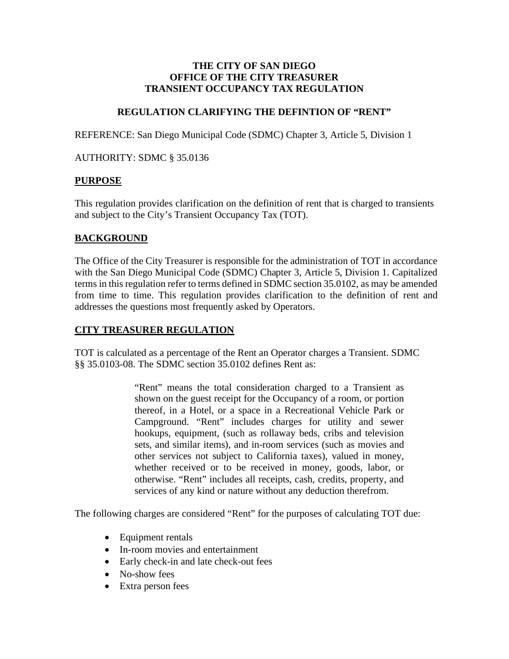### **THE CITY OF SAN DIEGO OFFICE OF THE CITY TREASURER TRANSIENT OCCUPANCY TAX REGULATION**

# **REGULATION CLARIFYING THE DEFINTION OF "RENT"**

REFERENCE: San Diego Municipal Code (SDMC) Chapter 3, Article 5, Division 1

AUTHORITY: SDMC § 35.0136

## **PURPOSE**

This regulation provides clarification on the definition of rent that is charged to transients and subject to the City's Transient Occupancy Tax (TOT).

## **BACKGROUND**

The Office of the City Treasurer is responsible for the administration of TOT in accordance with the San Diego Municipal Code (SDMC) Chapter 3, Article 5, Division 1. Capitalized terms in this regulation refer to terms defined in SDMC section 35.0102, as may be amended from time to time. This regulation provides clarification to the definition of rent and addresses the questions most frequently asked by Operators.

# **CITY TREASURER REGULATION**

TOT is calculated as a percentage of the Rent an Operator charges a Transient. SDMC §§ 35.0103-08. The SDMC section 35.0102 defines Rent as:

> "Rent" means the total consideration charged to a Transient as shown on the guest receipt for the Occupancy of a room, or portion thereof, in a Hotel, or a space in a Recreational Vehicle Park or Campground. "Rent" includes charges for utility and sewer hookups, equipment, (such as rollaway beds, cribs and television sets, and similar items), and in-room services (such as movies and other services not subject to California taxes), valued in money, whether received or to be received in money, goods, labor, or otherwise. "Rent" includes all receipts, cash, credits, property, and services of any kind or nature without any deduction therefrom.

The following charges are considered "Rent" for the purposes of calculating TOT due:

- Equipment rentals
- In-room movies and entertainment
- Early check-in and late check-out fees
- No-show fees
- Extra person fees